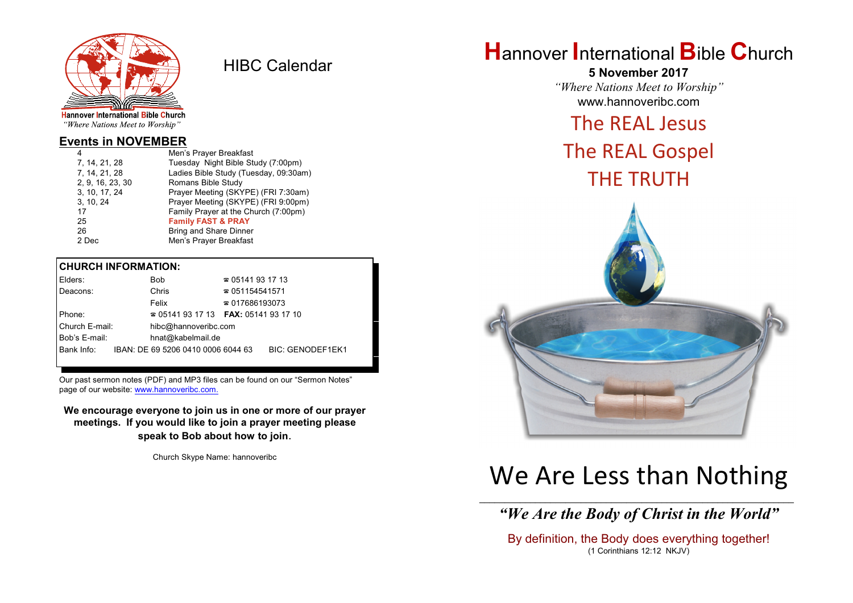

HIBC Calendar

"Where Nations Meet to Worship"

### **Events in NOVEMBER**

| 4                | Men's Prayer Breakfast                |
|------------------|---------------------------------------|
| 7, 14, 21, 28    | Tuesday Night Bible Study (7:00pm)    |
| 7, 14, 21, 28    | Ladies Bible Study (Tuesday, 09:30am) |
| 2, 9, 16, 23, 30 | Romans Bible Study                    |
| 3, 10, 17, 24    | Prayer Meeting (SKYPE) (FRI 7:30am)   |
| 3, 10, 24        | Prayer Meeting (SKYPE) (FRI 9:00pm)   |
| 17               | Family Prayer at the Church (7:00pm)  |
| 25               | <b>Family FAST &amp; PRAY</b>         |
| 26               | <b>Bring and Share Dinner</b>         |
| 2 Dec            | Men's Prayer Breakfast                |
|                  |                                       |

### **CHURCH INFORMATION:**

| Elders:        |                      | <b>Bob</b>                                    | $\approx 05141931713$  |                         |
|----------------|----------------------|-----------------------------------------------|------------------------|-------------------------|
| Deacons:       |                      | Chris                                         | $\approx 051154541571$ |                         |
|                |                      | Felix                                         | $\approx 017686193073$ |                         |
| Phone:         |                      | $\approx 05141931713$ FAX: 0514193 17 10      |                        |                         |
| Church E-mail: | hibc@hannoveribc.com |                                               |                        |                         |
| Bob's E-mail:  |                      | hnat@kabelmail.de                             |                        |                         |
|                |                      | Bank Info: IBAN: DE 69 5206 0410 0006 6044 63 |                        | <b>BIC: GENODEF1EK1</b> |
|                |                      |                                               |                        |                         |

Our past sermon notes (PDF) and MP3 files can be found on our "Sermon Notes" page of our website: [www.hannoveribc.com.](http://www.hannoveribc.com.)

**We encourage everyone to join us in one or more of our prayer meetings. If you would like to join a prayer meeting please speak to Bob about how to join**.

Church Skype Name: hannoveribc

## **H**annover **I**nternational **B**ible **C**hurch

**5 November 2017** *"Where Nations Meet to Worship"* www.hannoveribc.com

## The REAL Jesus

# The REAL Gospel THE TRUTH



# We Are Less than Nothing

\_\_\_\_\_\_\_\_\_\_\_\_\_\_\_\_\_\_\_\_\_\_\_\_\_\_\_\_\_\_\_\_\_\_\_\_\_\_\_\_\_\_\_\_\_\_\_\_\_\_\_\_\_\_\_\_\_\_\_\_\_\_ *"We Are the Body of Christ in the World"*

By definition, the Body does everything together! (1 Corinthians 12:12 NKJV)